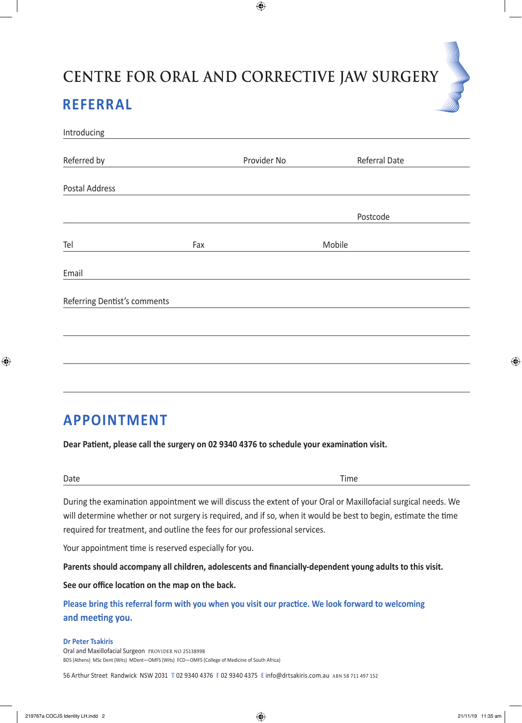## CENTRE FOR ORAL AND CORRECTIVE JAW SURGERY **REFERRAL**

 $\bigoplus$ 

| Introducing                  |     |             |        |               |
|------------------------------|-----|-------------|--------|---------------|
|                              |     |             |        |               |
| Referred by                  |     | Provider No |        | Referral Date |
|                              |     |             |        |               |
| Postal Address               |     |             |        |               |
|                              |     |             |        |               |
|                              |     |             |        | Postcode      |
|                              |     |             |        |               |
| Tel                          | Fax |             | Mobile |               |
|                              |     |             |        |               |
| Email                        |     |             |        |               |
|                              |     |             |        |               |
| Referring Dentist's comments |     |             |        |               |
|                              |     |             |        |               |
|                              |     |             |        |               |
|                              |     |             |        |               |
|                              |     |             |        |               |
|                              |     |             |        |               |

## **APPOINTMENT**

**Dear Patient, please call the surgery on 02 9340 4376 to schedule your examination visit.**

Date **Date Date Time** 

⊕

During the examination appointment we will discuss the extent of your Oral or Maxillofacial surgical needs. We will determine whether or not surgery is required, and if so, when it would be best to begin, estimate the time required for treatment, and outline the fees for our professional services.

Your appointment time is reserved especially for you.

**Parents should accompany all children, adolescents and financially-dependent young adults to this visit.**

**See our office location on the map on the back.** 

**Please bring this referral form with you when you visit our practice. We look forward to welcoming and meeting you.**

## **Dr Peter Tsakiris**

Oral and Maxillofacial Surgeon **provider no** 2513899B BDS (Athens) MSc Dent (Wits) MDent—OMFS (Wits) FCD—OMFS (College of Medicine of South Africa)

56 Arthur Street Randwick NSW 2031 **T** 02 9340 4376 **F** 02 9340 4375 **E** info@drtsakiris.com.au **abn** 58 711 497 152

⊕